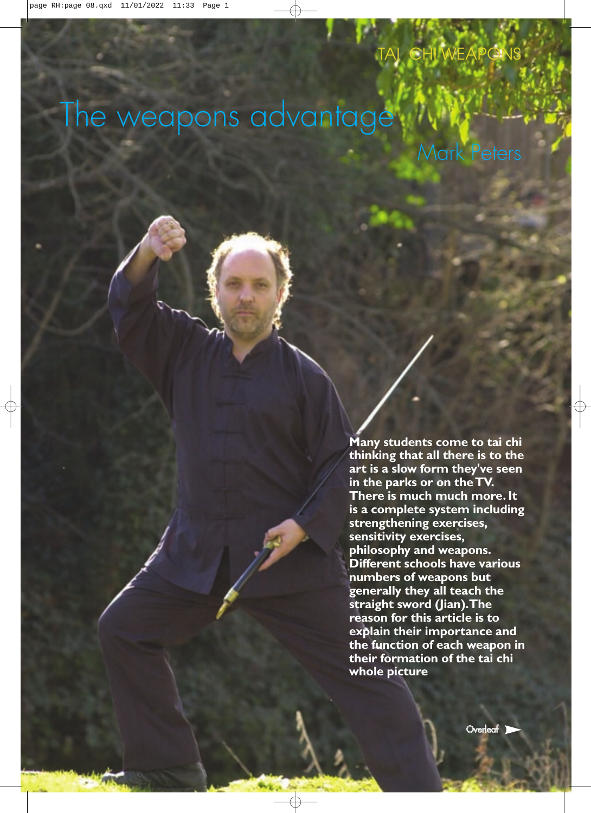# The weapons advantage

Mark Peters

**Many students come to tai chi thinking that all there is to the art is a slow form they've seen in the parks or on theTV. There is much much more. It is a complete system including strengthening exercises, sensitivity exercises, philosophy and weapons. Different schools have various numbers of weapons but generally they all teach the straight sword (Jian).The reason for this article is to explain their importance and the function of each weapon in their formation of the tai chi whole picture**

**Overleaf**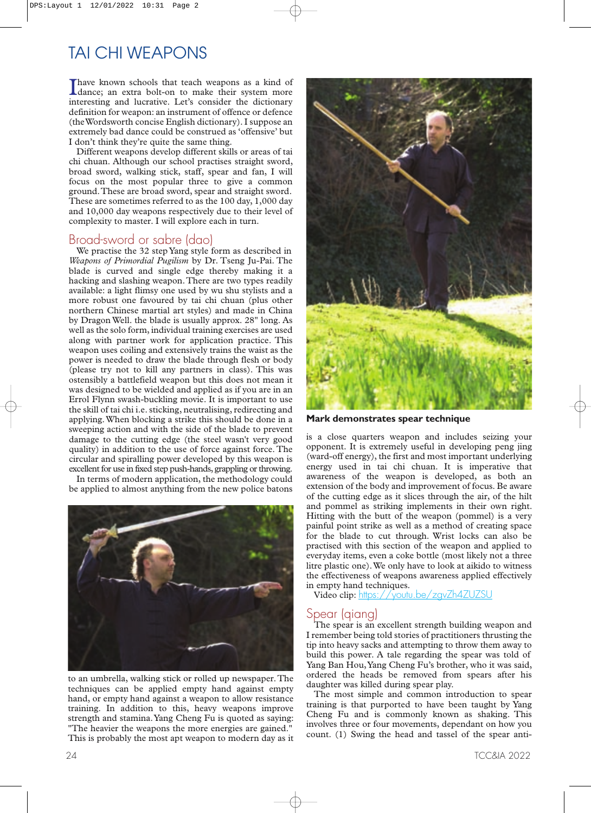I have known schools that teach weapons as a kind of dance; an extra bolt-on to make their system more interesting and lucrative. Let's consider the dictionary have known schools that teach weapons as a kind of dance; an extra bolt-on to make their system more definition for weapon: an instrument of offence or defence (theWordsworth concise English dictionary). I suppose an extremely bad dance could be construed as 'offensive' but I don't think they're quite the same thing.

Different weapons develop different skills or areas of tai chi chuan. Although our school practises straight sword, broad sword, walking stick, staff, spear and fan, I will focus on the most popular three to give a common ground.These are broad sword, spear and straight sword. These are sometimes referred to as the 100 day, 1,000 day and 10,000 day weapons respectively due to their level of complexity to master. I will explore each in turn.

#### Broad-sword or sabre (dao)

We practise the 32 step Yang style form as described in *Weapons of Primordial Pugilism* by Dr. Tseng Ju-Pai. The blade is curved and single edge thereby making it a hacking and slashing weapon.There are two types readily available: a light flimsy one used by wu shu stylists and a more robust one favoured by tai chi chuan (plus other northern Chinese martial art styles) and made in China by Dragon Well. the blade is usually approx. 28" long. As well as the solo form, individual training exercises are used along with partner work for application practice. This weapon uses coiling and extensively trains the waist as the power is needed to draw the blade through flesh or body (please try not to kill any partners in class). This was ostensibly a battlefield weapon but this does not mean it was designed to be wielded and applied as if you are in an Errol Flynn swash-buckling movie. It is important to use the skill of tai chi i.e. sticking, neutralising, redirecting and applying.When blocking a strike this should be done in a sweeping action and with the side of the blade to prevent damage to the cutting edge (the steel wasn't very good quality) in addition to the use of force against force. The circular and spiralling power developed by this weapon is excellent for use in fixed step push-hands, grappling or throwing.

In terms of modern application, the methodology could be applied to almost anything from the new police batons



to an umbrella, walking stick or rolled up newspaper. The techniques can be applied empty hand against empty hand, or empty hand against a weapon to allow resistance training. In addition to this, heavy weapons improve strength and stamina.Yang Cheng Fu is quoted as saying: "The heavier the weapons the more energies are gained." This is probably the most apt weapon to modern day as it



**Mark demonstrates spear technique**

is a close quarters weapon and includes seizing your opponent. It is extremely useful in developing peng jing (ward-off energy), the first and most important underlying energy used in tai chi chuan. It is imperative that awareness of the weapon is developed, as both an extension of the body and improvement of focus. Be aware of the cutting edge as it slices through the air, of the hilt and pommel as striking implements in their own right. Hitting with the butt of the weapon (pommel) is a very painful point strike as well as a method of creating space for the blade to cut through. Wrist locks can also be practised with this section of the weapon and applied to everyday items, even a coke bottle (most likely not a three litre plastic one).We only have to look at aikido to witness the effectiveness of weapons awareness applied effectively in empty hand techniques.

Video clip: https://youtu.be/zavZh4ZUZSU

#### Spear (qiang)

The spear is an excellent strength building weapon and I remember being told stories of practitioners thrusting the tip into heavy sacks and attempting to throw them away to build this power. A tale regarding the spear was told of Yang Ban Hou,Yang Cheng Fu's brother, who it was said, ordered the heads be removed from spears after his daughter was killed during spear play.

The most simple and common introduction to spear training is that purported to have been taught by Yang Cheng Fu and is commonly known as shaking. This involves three or four movements, dependant on how you count. (1) Swing the head and tassel of the spear anti-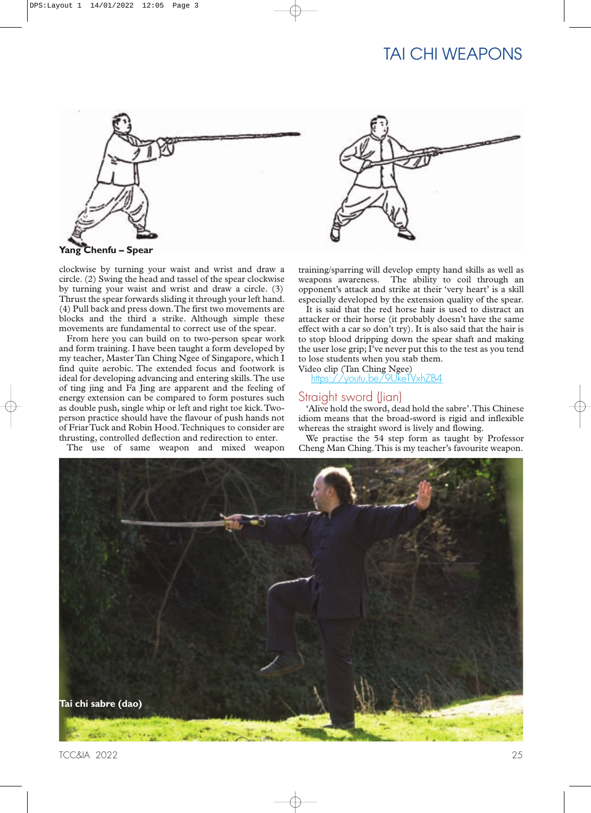

clockwise by turning your waist and wrist and draw a circle. (2) Swing the head and tassel of the spear clockwise by turning your waist and wrist and draw a circle. (3) Thrust the spear forwards sliding it through your left hand. (4) Pull back and press down.The first two movements are blocks and the third a strike. Although simple these movements are fundamental to correct use of the spear.

From here you can build on to two-person spear work and form training. I have been taught a form developed by my teacher, Master Tan Ching Ngee of Singapore, which I find quite aerobic. The extended focus and footwork is ideal for developing advancing and entering skills.The use of ting jing and Fa Jing are apparent and the feeling of energy extension can be compared to form postures such as double push, single whip or left and right toe kick.Twoperson practice should have the flavour of push hands not of FriarTuck and Robin Hood.Techniques to consider are thrusting, controlled deflection and redirection to enter.

The use of same weapon and mixed weapon

training/sparring will develop empty hand skills as well as

weapons awareness. The ability to coil through an opponent's attack and strike at their 'very heart' is a skill especially developed by the extension quality of the spear.

It is said that the red horse hair is used to distract an attacker or their horse (it probably doesn't have the same effect with a car so don't try). It is also said that the hair is to stop blood dripping down the spear shaft and making the user lose grip; I've never put this to the test as you tend to lose students when you stab them. Video clip (Tan Ching Ngee)

<https://youtu.be/9UkeTVxhZB4>

#### Straight sword (Jian)

'Alive hold the sword, dead hold the sabre'.This Chinese idiom means that the broad-sword is rigid and inflexible whereas the straight sword is lively and flowing.

We practise the 54 step form as taught by Professor Cheng Man Ching.This is my teacher's favourite weapon.

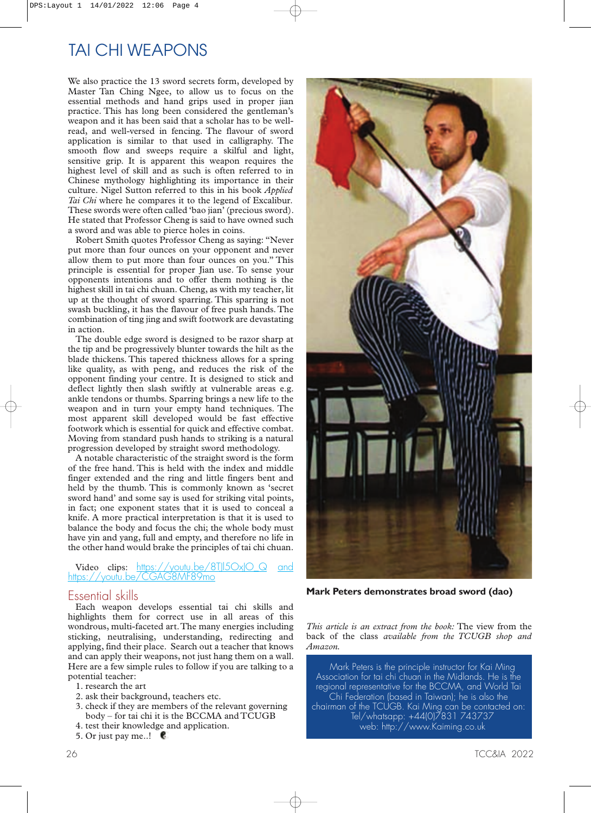We also practice the 13 sword secrets form, developed by Master Tan Ching Ngee, to allow us to focus on the essential methods and hand grips used in proper jian practice. This has long been considered the gentleman's weapon and it has been said that a scholar has to be wellread, and well-versed in fencing. The flavour of sword application is similar to that used in calligraphy. The smooth flow and sweeps require a skilful and light, sensitive grip. It is apparent this weapon requires the highest level of skill and as such is often referred to in Chinese mythology highlighting its importance in their culture. Nigel Sutton referred to this in his book *Applied Tai Chi* where he compares it to the legend of Excalibur. These swords were often called 'bao jian' (precious sword). He stated that Professor Cheng is said to have owned such a sword and was able to pierce holes in coins.

Robert Smith quotes Professor Cheng as saying: "Never put more than four ounces on your opponent and never allow them to put more than four ounces on you." This principle is essential for proper Jian use. To sense your opponents intentions and to offer them nothing is the highest skill in tai chi chuan. Cheng, as with my teacher, lit up at the thought of sword sparring. This sparring is not swash buckling, it has the flavour of free push hands. The combination of ting jing and swift footwork are devastating in action.

The double edge sword is designed to be razor sharp at the tip and be progressively blunter towards the hilt as the blade thickens. This tapered thickness allows for a spring like quality, as with peng, and reduces the risk of the opponent finding your centre. It is designed to stick and deflect lightly then slash swiftly at vulnerable areas e.g. ankle tendons or thumbs. Sparring brings a new life to the weapon and in turn your empty hand techniques. The most apparent skill developed would be fast effective footwork which is essential for quick and effective combat. Moving from standard push hands to striking is a natural progression developed by straight sword methodology.

A notable characteristic of the straight sword is the form of the free hand. This is held with the index and middle finger extended and the ring and little fingers bent and held by the thumb. This is commonly known as 'secret sword hand' and some say is used for striking vital points, in fact; one exponent states that it is used to conceal a knife. A more practical interpretation is that it is used to balance the body and focus the chi; the whole body must have yin and yang, full and empty, and therefore no life in the other hand would brake the principles of tai chi chuan.

Video clips: https://youtu.be/8T|l5OxIO Q and <https://youtu.be/CGAG8MF89mo>

#### Essential skills

Each weapon develops essential tai chi skills and highlights them for correct use in all areas of this wondrous, multi-faceted art.The many energies including sticking, neutralising, understanding, redirecting and applying, find their place. Search out a teacher that knows and can apply their weapons, not just hang them on a wall. Here are a few simple rules to follow if you are talking to a potential teacher:

- 1. research the art
- 2. ask their background, teachers etc.
- 3. check if they are members of the relevant governing body – for tai chi it is the BCCMA and TCUGB
- 4. test their knowledge and application.
- 5. Or just pay me..!



**Mark Peters demonstrates broad sword (dao)**

*This article is an extract from the book:* The view from the back of the class *available from the TCUGB shop and Amazon.*

Mark Peters is the principle instructor for Kai Ming Association for tai chi chuan in the Midlands. He is the regional representative for the BCCMA, and World Tai Chi Federation (based in Taiwan); he is also the chairman of the TCUGB. Kai Ming can be contacted on: Tel/whatsapp: +44(0)7831 743737 web:<http://www.Kaiming.co.uk>